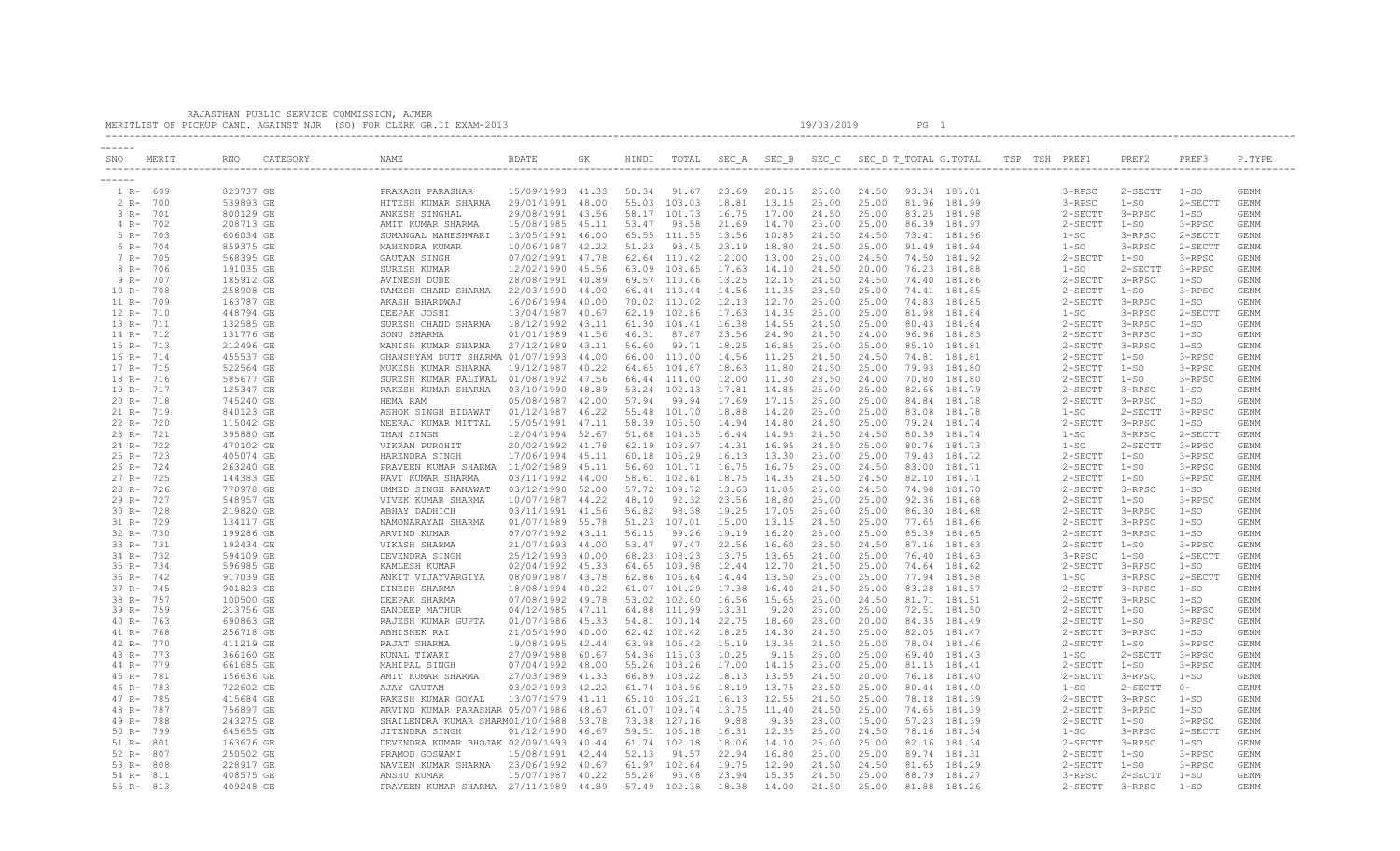RAJASTHAN PUBLIC SERVICE COMMISSION, AJMER

MERITLIST OF PICKUP CAND. AGAINST NJR (SO) FOR CLERK GR.II EXAM-2013 19/03/2019 PG 1 ------------------------------------------------------------------------------------------------------------------------------------------------------------------------------------------------------------

| $- - - - - -$<br>SNO | MERIT      | <b>RNO</b>             | CATEGORY | <b>NAME</b>                             | BDATE                                | GK    |                | HINDI TOTAL     | SEC A SEC B    |                |                |                | SEC C SEC D T TOTAL G.TOTAL        | TSP TSH PREF1 |                          | PREF2                    | PREF3                | P.TYPE                     |
|----------------------|------------|------------------------|----------|-----------------------------------------|--------------------------------------|-------|----------------|-----------------|----------------|----------------|----------------|----------------|------------------------------------|---------------|--------------------------|--------------------------|----------------------|----------------------------|
|                      |            |                        |          |                                         |                                      |       |                |                 |                |                |                |                |                                    |               |                          |                          |                      | <b>GENM</b>                |
| $1 R-$<br>2 R        | 699<br>700 | 823737 GE<br>539893 GE |          | PRAKASH PARASHAR<br>HITESH KUMAR SHARMA | 15/09/1993 41.33<br>29/01/1991 48.00 |       | 50.34<br>55.03 | 91.67<br>103.03 | 23.69<br>18.81 | 20.15<br>13.15 | 25.00<br>25.00 | 24.50<br>25.00 | 93.34 185.01<br>81.96<br>184.99    |               | $3 - RPSC$<br>$3 - RPSC$ | $2-SECTT$<br>$1 - SO$    | $1 - SO$             | GENM                       |
| 3 R-                 | 701        | 800129 GE              |          | ANKESH SINGHAL                          | 29/08/1991 43.56                     |       | 58.17          | 101.73          | 16.75          | 17.00          | 24.50          | 25.00          | 83.25<br>184.98                    |               | $2 - SECTT$              | $3 - RPSC$               | 2-SECTT<br>$1 - SO$  | <b>GENM</b>                |
| $4 R -$              | 702        | 208713 GE              |          | AMIT KUMAR SHARMA                       | 15/08/1985 45.11                     |       | 53.47          | 98.58           | 21.69          | 14.70          | 25.00          | 25.00          | 86.39<br>184.97                    |               | 2-SECTT                  | $1 - SO$                 | $3 - RPSC$           | <b>GENM</b>                |
| 5 R-                 | 703        | 606034 GE              |          | SUMANGAL MAHESHWARI                     | 13/05/1991 46.00                     |       | 65.55 111.55   |                 | 13.56          | 10.85          | 24.50          | 24.50          | 73.41<br>184.96                    |               | $1 - SO$                 | $3 - RPSC$               | 2-SECTT              | <b>GENM</b>                |
| $6 R -$              | 704        | 859375 GE              |          | MAHENDRA KUMAR                          | 10/06/1987 42.22                     |       | 51.23          | 93.45           | 23.19          | 18.80          | 24.50          | 25.00          | 91.49<br>184.94                    |               | $1 - SO$                 | $3 - RPSC$               | 2-SECTT              | GENM                       |
| 7 R-                 | 705        | 568395 GE              |          | GAUTAM SINGH                            | 07/02/1991 47.78                     |       |                | 62.64 110.42    | 12.00          | 13.00          | 25.00          | 24.50          | 74.50<br>184.92                    |               | $2 - SECTT$              | $1 - SO$                 | $3 - RPSC$           | <b>GENM</b>                |
| $8 R -$              | 706        | 191035 GE              |          | SURESH KUMAR                            | 12/02/1990 45.56                     |       | 63.09          | 108.65          | 17.63          | 14.10          | 24.50          | 20.00          | 76.23<br>184.88                    |               | $1 - SO$                 | 2-SECTT                  | $3 - RPSC$           | GENM                       |
| 9 R-                 | 707        | 185912 GE              |          | AVINESH DUBE                            | 28/08/1991 40.89                     |       |                | 69.57 110.46    | 13.25          | 12.15          | 24.50          | 24.50          | 184.86<br>74.40                    |               | 2-SECTT                  | $3 - RPSC$               | $1 - SO$             | <b>GENM</b>                |
| $10 R -$             | 708        | 258908 GE              |          | RAMESH CHAND SHARMA                     | 22/03/1990                           | 44.00 | 66.44 110.44   |                 | 14.56          | 11.35          | 23.50          | 25.00          | 184.85<br>74.41                    |               | $2 - SECTT$              | $1 - SO$                 | $3 - RPSC$           | GENM                       |
| $11 R -$             | 709        | 163787 GE              |          | AKASH BHARDWAJ                          | 16/06/1994 40.00                     |       |                | 70.02 110.02    | 12.13          | 12.70          | 25.00          | 25.00          | 74.83<br>184.85                    |               | $2 - SECTT$              | $3 - RPSC$               | $1 - SO$             | <b>GENM</b>                |
| $12 R -$             | 710        | 448794 GE              |          | DEEPAK JOSHI                            | 13/04/1987 40.67                     |       |                | 62.19 102.86    | 17.63          | 14.35          | 25.00          | 25.00          | 81.98<br>184.84                    |               | $1 - SO$                 | $3 - RPSC$               | 2-SECTT              | GENM                       |
| $13 R -$             | 711        | 132585 GE              |          | SURESH CHAND SHARMA                     | 18/12/1992 43.11                     |       |                | 61.30 104.41    | 16.38          | 14.55          | 24.50          | 25.00          | 184.84<br>80.43                    |               | 2-SECTT                  | $3 - RPSC$               | $1 - SO$             | <b>GENM</b>                |
| $14 R -$             | 712        | 131776 GE              |          | SONU SHARMA                             | 01/01/1989                           | 41.56 | 46.31          | 87.87           | 23.56          | 24.90          | 24.50          | 24.00          | 96.96<br>184.83                    |               | $2 - SECTT$              | $3 - RPSC$               | $1 - SO$             | <b>GENM</b>                |
| $15 R-$              | 713        | 212496 GE              |          | MANISH KUMAR SHARMA                     | 27/12/1989 43.11                     |       | 56.60          | 99.71           | 18.25          | 16.85          | 25.00          | 25.00          | 184.81<br>85.10                    |               | $2 - SECTT$              | $3 - RPSC$               | $1 - SO$             | <b>GENM</b>                |
| $16 R-$              | 714        | 455537 GE              |          | GHANSHYAM DUTT SHARMA 01/07/1993 44.00  |                                      |       | 66.00          | 110.00          | 14.56          | 11.25          | 24.50          | 24.50          | 74.81<br>184.81                    |               | $2 - SECTT$              | $1 - SO$                 | $3 - RPSC$           | <b>GENM</b>                |
| 17 R-                | 715        | 522564 GE              |          | MUKESH KUMAR SHARMA                     | 19/12/1987                           | 40.22 | 64.65          | 104.87          | 18.63          | 11.80          | 24.50          | 25.00          | 184.80<br>79.93                    |               | $2 - SECTT$              | $1 - SO$                 | $3 - RPSC$           | GENM                       |
| $18 R -$             | 716        | 585677 GE              |          | SURESH KUMAR PALIWAL                    | 01/08/1992 47.56                     |       |                | 66.44 114.00    | 12.00          | 11.30          | 23.50          | 24.00          | 184.80<br>70.80                    |               | $2 - SECTT$              | $1 - SO$                 | $3 - RPSC$           | <b>GENM</b>                |
| 19 R-                | 717        | 125347 GE              |          | RAKESH KUMAR SHARMA                     | 03/10/1990                           | 48.89 |                | 53.24 102.13    | 17.81          | 14.85          | 25.00          | 25.00          | 82.66<br>184.79                    |               | $2 - SECTT$              | $3 - RPSC$               | $1 - SO$             | <b>GENM</b>                |
| $20 R -$             | 718        | 745240 GE              |          | HEMA RAM                                | 05/08/1987 42.00                     |       | 57.94          | 99.94           | 17.69          | 17.15          | 25.00          | 25.00          | 184.78<br>84.84                    |               | 2-SECTT                  | $3 - RPSC$               | $1 - SO$             | <b>GENM</b>                |
| $21 R -$             | 719        | 840123 GE              |          | ASHOK SINGH BIDAWAT                     | 01/12/1987 46.22                     |       | 55.48          | 101.70          | 18.88          | 14.20          | 25.00          | 25.00          | 184.78<br>83.08                    |               | $1 - SO$                 | $2 - SECTT$              | $3 - RPSC$           | <b>GENM</b>                |
| $22 R -$             | 720        | 115042 GE              |          | NEERAJ KUMAR MITTAL                     | 15/05/1991 47.11                     |       | 58.39          | 105.50          | 14.94          | 14.80          | 24.50          | 25.00          | 184.74<br>79.24                    |               | $2 - SECTT$              | $3 - RPSC$               | $1 - SO$             | <b>GENM</b>                |
| $23 R -$             | 721        | 395880 GE              |          | THAN SINGH                              | 12/04/1994 52.67                     |       | 51.68          | 104.35          | 16.44          | 14.95          | 24.50          | 24.50          | 80.39<br>184.74                    |               | $1 - SO$                 | $3 - RPSC$               | 2-SECTT              | <b>GENM</b>                |
| $24 R -$             | 722        | 470102 GE              |          | VIKRAM PUROHIT                          | 20/02/1992 41.78                     |       | 62.19 103.97   |                 | 14.31          | 16.95          | 24.50          | 25.00          | 184.73<br>80.76                    |               | $1 - SO$                 | 2-SECTT                  | $3 - RPSC$           | <b>GENM</b>                |
| $25 R -$             | 723        | 405074 GE              |          | HARENDRA SINGH                          | 17/06/1994                           | 45.11 | 60.18          | 105.29          | 16.13          | 13.30          | 25.00          | 25.00          | 79.43<br>184.72                    |               | 2-SECTT                  | $1 - SO$                 | $3 - RPSC$           | <b>GENM</b>                |
| $26 R -$             | 724        | 263240 GE              |          | PRAVEEN KUMAR SHARMA                    | 11/02/1989 45.11                     |       | 56.60          | 101.71          | 16.75          | 16.75          | 25.00          | 24.50          | 83.00<br>184.71                    |               | $2 - SECTT$              | $1 - SO$                 | $3 - RPSC$           | <b>GENM</b>                |
| $27 R -$             | 725        | 144383 GE              |          | RAVI KUMAR SHARMA                       | 03/11/1992 44.00                     |       | 58.61 102.61   |                 | 18.75          | 14.35          | 24.50          | 24.50          | 82.10<br>184.71                    |               | $2 - SECTT$              | $1 - SO$                 | $3 - RPSC$           | <b>GENM</b>                |
| $28 R -$             | 726        | 770978 GE              |          | UMMED SINGH RANAWAT                     | 03/12/1990                           | 52.00 |                | 57.72 109.72    | 13.63          | 11.85          | 25.00          | 24.50          | 74.98<br>184.70                    |               | 2-SECTT                  | $3 - RPSC$               | $1 - SO$             | <b>GENM</b>                |
| $29 R -$             | 727<br>728 | 548957 GE              |          | VIVEK KUMAR SHARMA                      | 10/07/1987 44.22                     |       | 48.10<br>56.82 | 92.32<br>98.38  | 23.56<br>19.25 | 18.80          | 25.00<br>25.00 | 25.00<br>25.00 | 92.36<br>184.68                    |               | $2 - SECTT$              | $1 - SO$                 | $3 - RPSC$           | GENM                       |
| $30 R -$<br>$31 R -$ | 729        | 219820 GE<br>134117 GE |          | ABHAY DADHICH<br>NAMONARAYAN SHARMA     | 03/11/1991 41.56<br>01/07/1989 55.78 |       |                | 51.23 107.01    | 15.00          | 17.05<br>13.15 | 24.50          | 25.00          | 86.30<br>184.68<br>77.65<br>184.66 |               | 2-SECTT<br>$2 - SECTT$   | $3 - RPSC$<br>$3 - RPSC$ | $1 - SO$<br>$1 - SO$ | <b>GENM</b><br><b>GENM</b> |
| $32 R -$             | 730        | 199286 GE              |          | ARVIND KUMAR                            | 07/07/1992 43.11                     |       | 56.15          | 99.26           | 19.19          | 16.20          | 25.00          | 25.00          | 85.39<br>184.65                    |               | $2 - SECTT$              | $3 - RPSC$               | $1 - SO$             | <b>GENM</b>                |
| $33 R -$             | 731        | 192434 GE              |          | VIKASH SHARMA                           | 21/07/1993 44.00                     |       | 53.47          | 97.47           | 22.56          | 16.60          | 23.50          | 24.50          | 184.63<br>87.16                    |               | 2-SECTT                  | $1 - SO$                 | $3 - RPSC$           | GENM                       |
| $34 R -$             | 732        | 594109 GE              |          | DEVENDRA SINGH                          | 25/12/1993 40.00                     |       |                | 68.23 108.23    | 13.75          | 13.65          | 24.00          | 25.00          | 76.40<br>184.63                    |               | $3 - RPSC$               | $1 - SO$                 | $2-SECTT$            | GENM                       |
| $35 R -$             | 734        | 596985 GE              |          | KAMLESH KUMAR                           | 02/04/1992 45.33                     |       | 64.65          | 109.98          | 12.44          | 12.70          | 24.50          | 25.00          | 74.64<br>184.62                    |               | $2 - SECTT$              | $3 - RPSC$               | $1 - SO$             | <b>GENM</b>                |
| $36 R -$             | 742        | 917039 GE              |          | ANKIT VIJAYVARGIYA                      | 08/09/1987 43.78                     |       |                | 62.86 106.64    | 14.44          | 13.50          | 25.00          | 25.00          | 77.94<br>184.58                    |               | $1 - SO$                 | $3 - RPSC$               | 2-SECTT              | GENM                       |
| $37 R -$             | 745        | 901823 GE              |          | DINESH SHARMA                           | 18/08/1994 40.22                     |       |                | 61.07 101.29    | 17.38          | 16.40          | 24.50          | 25.00          | 83.28<br>184.57                    |               | $2 - SECTT$              | $3 - RPSC$               | $1 - SO$             | <b>GENM</b>                |
| $38 R -$             | 757        | 100500 GE              |          | DEEPAK SHARMA                           | 07/08/1992 49.78                     |       |                | 53.02 102.80    | 16.56          | 15.65          | 25.00          | 24.50          | 81.71<br>184.51                    |               | $2 - SECTT$              | $3 - RPSC$               | $1 - SO$             | <b>GENM</b>                |
| $39 R -$             | 759        | 213756 GE              |          | SANDEEP MATHUR                          | 04/12/1985 47.11                     |       | 64.88          | 111.99          | 13.31          | 9.20           | 25.00          | 25.00          | 72.51<br>184.50                    |               | $2 - SECTT$              | $1 - SO$                 | $3 - RPSC$           | GENM                       |
| $40 R -$             | 763        | 690863 GE              |          | RAJESH KUMAR GUPTA                      | 01/07/1986 45.33                     |       | 54.81 100.14   |                 | 22.75          | 18.60          | 23.00          | 20.00          | 84.35<br>184.49                    |               | $2 - SECTT$              | $1 - SO$                 | $3 - RPSC$           | GENM                       |
| $41 R -$             | 768        | 256718 GE              |          | ABHISHEK RAI                            | 21/05/1990 40.00                     |       |                | 62.42 102.42    | 18.25          | 14.30          | 24.50          | 25.00          | 82.05<br>184.47                    |               | $2 - SECTT$              | $3 - RPSC$               | $1 - SO$             | <b>GENM</b>                |
| $42 R -$             | 770        | 411219 GE              |          | RAJAT SHARMA                            | 19/08/1995 42.44                     |       | 63.98          | 106.42          | 15.19          | 13.35          | 24.50          | 25.00          | 184.46<br>78.04                    |               | $2 - SECTT$              | $1 - SO$                 | $3 - RPSC$           | <b>GENM</b>                |
| $43 R -$             | 773        | 366160 GE              |          | KUNAL TIWARI                            | 27/09/1988 60.67                     |       |                | 54.36 115.03    | 10.25          | 9.15           | 25.00          | 25.00          | 184.43<br>69.40                    |               | $1 - SO$                 | $2 - SECTT$              | $3 - RPSC$           | <b>GENM</b>                |
| $44 R -$             | 779        | 661685 GE              |          | MAHIPAL SINGH                           | 07/04/1992                           | 48.00 |                | 55.26 103.26    | 17.00          | 14.15          | 25.00          | 25.00          | 81.15<br>184.41                    |               | 2-SECTT                  | $1 - SO$                 | $3 - RPSC$           | <b>GENM</b>                |
| $45 R -$             | 781        | 156636 GE              |          | AMIT KUMAR SHARMA                       | 27/03/1989 41.33                     |       | 66.89          | 108.22          | 18.13          | 13.55          | 24.50          | 20.00          | 184.40<br>76.18                    |               | $2 - SECTT$              | $3 - RPSC$               | $1 - SO$             | <b>GENM</b>                |
| $46 R -$             | 783        | 722602 GE              |          | AJAY GAUTAM                             | 03/02/1993 42.22                     |       |                | 61.74 103.96    | 18.19          | 13.75          | 23.50          | 25.00          | 184.40<br>80.44                    |               | $1 - SO$                 | $2-SECTT$                | $0 -$                | <b>GENM</b>                |
| $47 R -$             | 785        | 415684 GE              |          | RAKESH KUMAR GOYAL                      | 13/07/1979 41.11                     |       | 65.10          | 106.21          | 16.13          | 12.55          | 24.50          | 25.00          | 184.39<br>78.18                    |               | 2-SECTT                  | $3 - RPSC$               | $1 - SO$             | <b>GENM</b>                |
| $48 R -$             | 787        | 756897 GE              |          | ARVIND KUMAR PARASHAR 05/07/1986        |                                      | 48.67 | 61.07          | 109.74          | 13.75          | 11.40          | 24.50          | 25.00          | 74.65<br>184.39                    |               | $2 - SECTT$              | $3 - RPSC$               | $1 - SO$             | <b>GENM</b>                |
| $49 R -$             | 788        | 243275 GE              |          | SHAILENDRA KUMAR SHARM01/10/1988        |                                      | 53.78 | 73.38          | 127.16          | 9.88           | 9.35           | 23.00          | 15.00          | 57.23<br>184.39                    |               | $2 - SECTT$              | $1 - SO$                 | $3 - RPSC$           | <b>GENM</b>                |
| $50 R -$             | 799        | 645655 GE              |          | JITENDRA SINGH                          | 01/12/1990                           | 46.67 | 59.51          | 106.18          | 16.31          | 12.35          | 25.00          | 24.50          | 78.16<br>184.34                    |               | $1 - SO$                 | $3 - RPSC$               | 2-SECTT              | <b>GENM</b>                |
| $51 R -$             | 801        | 163676 GE              |          | DEVENDRA KUMAR BHOJAK 02/09/1993 40.44  |                                      |       |                | 61.74 102.18    | 18.06          | 14.10          | 25.00          | 25.00          | 82.16<br>184.34                    |               | $2 - SECTT$              | $3 - RPSC$               | $1 - SO$             | <b>GENM</b>                |
| $52 R -$             | 807        | 250502 GE              |          | PRAMOD GOSWAMI                          | 15/08/1991                           | 42.44 | 52.13          | 94.57           | 22.94          | 16.80          | 25.00          | 25.00          | 184.31<br>89.74                    |               | $2 - SECTT$              | $1 - SO$                 | $3 - RPSC$           | <b>GENM</b>                |
| $53 R -$             | 808        | 228917 GE              |          | NAVEEN KUMAR SHARMA                     | 23/06/1992                           | 40.67 | 61.97          | 102.64          | 19.75          | 12.90          | 24.50          | 24.50          | 81.65<br>184.29                    |               | $2 - SECTT$              | $1 - SO$                 | $3 - RPSC$           | <b>GENM</b>                |
| 54 R-                | 811        | 408575 GE              |          | ANSHU KUMAR                             | 15/07/1987 40.22                     |       | 55.26          | 95.48           | 23.94          | 15.35          | 24.50          | 25.00          | 88.79<br>184.27                    |               | $3 - RPSC$               | 2-SECTT                  | $1 - SO$             | <b>GENM</b>                |
| $55 R - 813$         |            | 409248 GE              |          | PRAVEEN KUMAR SHARMA 27/11/1989 44.89   |                                      |       |                | 57.49 102.38    | 18.38          | 14.00          | 24.50          | 25.00          | 81.88<br>184.26                    |               | $2 - SECTT$              | $3 - RPSC$               | $1 - SO$             | <b>GENM</b>                |